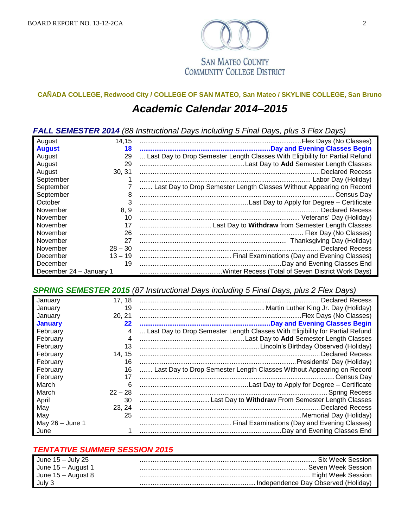

**SAN MATEO COUNTY COMMUNITY COLLEGE DISTRICT** 

## **CAÑADA COLLEGE, Redwood City / COLLEGE OF SAN MATEO, San Mateo / SKYLINE COLLEGE, San Bruno**

## *Academic Calendar 2014–2015*

*FALL SEMESTER 2014 (88 Instructional Days including 5 Final Days, plus 3 Flex Days)*

| August                  | 14.15     |                                                                              |
|-------------------------|-----------|------------------------------------------------------------------------------|
| <b>August</b>           | 18        |                                                                              |
| August                  | 29        | Last Day to Drop Semester Length Classes With Eligibility for Partial Refund |
| August                  | 29        |                                                                              |
| August                  | 30.31     |                                                                              |
| September               |           |                                                                              |
| September               |           | Last Day to Drop Semester Length Classes Without Appearing on Record         |
| September               | 8         |                                                                              |
| October                 | 3         |                                                                              |
| November                | 8, 9      |                                                                              |
| November                | 10        |                                                                              |
| November                | 17        |                                                                              |
| November                | 26        |                                                                              |
| November                | 27        |                                                                              |
| November                | $28 - 30$ | <b>Declared Recess</b>                                                       |
| December                | $13 - 19$ |                                                                              |
| December                | 19        |                                                                              |
| December 24 - January 1 |           |                                                                              |

*SPRING SEMESTER 2015 (87 Instructional Days including 5 Final Days, plus 2 Flex Days)*

| January           | 17, 18         |                                                                              |
|-------------------|----------------|------------------------------------------------------------------------------|
| January           | 19             |                                                                              |
| January           | 20, 21         |                                                                              |
| <b>January</b>    | 22             |                                                                              |
| February          | 4              | Last Day to Drop Semester Length Classes With Eligibility for Partial Refund |
| February          | $\overline{4}$ |                                                                              |
| February          | 13             |                                                                              |
| February          | 14, 15         |                                                                              |
| February          | 16             |                                                                              |
| February          | 16             | Last Day to Drop Semester Length Classes Without Appearing on Record         |
| February          | 17             | Census Dav                                                                   |
| March             | 6              |                                                                              |
| March             | $22 - 28$      |                                                                              |
| April             | 30             |                                                                              |
| May               | 23, 24         |                                                                              |
| May               | 25             |                                                                              |
| May $26 -$ June 1 |                |                                                                              |
| June              |                |                                                                              |

## *TENTATIVE SUMMER SESSION 2015*

| <b>June 15 – July 25</b> | <b>Six Week Session</b>             |
|--------------------------|-------------------------------------|
| June 15 – August 1       | <b>Seven Week Session</b>           |
| June $15 -$ August 8     | . Eight Week Session                |
| July 3                   | Independence Dav Observed (Holidav) |